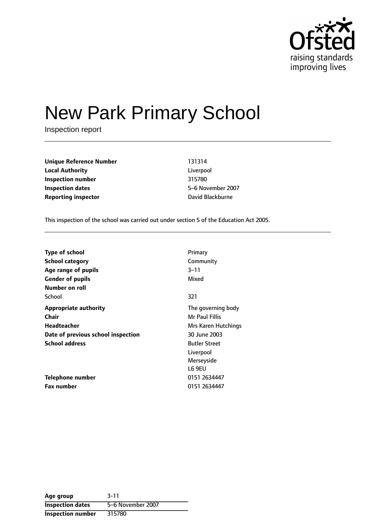

# New Park Primary School

Inspection report

**Unique Reference Number** 131314 **Local Authority** Liverpool **Inspection number** 315780 **Inspection dates** 5-6 November 2007 **Reporting inspector CONFIDENTIAL BLACK** David Blackburne

This inspection of the school was carried out under section 5 of the Education Act 2005.

| <b>Type of school</b>              | Primary              |
|------------------------------------|----------------------|
| <b>School category</b>             | Community            |
| Age range of pupils                | 3–11                 |
| <b>Gender of pupils</b>            | Mixed                |
| Number on roll                     |                      |
| School                             | 321                  |
| <b>Appropriate authority</b>       | The governing body   |
| Chair                              | Mr Paul Fillis       |
| Headteacher                        | Mrs Karen Hutchings  |
| Date of previous school inspection | 30 June 2003         |
| <b>School address</b>              | <b>Butler Street</b> |
|                                    | Liverpool            |
|                                    | Merseyside           |
|                                    | L6 9EU               |
| <b>Telephone number</b>            | 0151 2634447         |
| Fax number                         | 0151 2634447         |

**Age group** 3-11 **Inspection dates** 5-6 November 2007 **Inspection number** 315780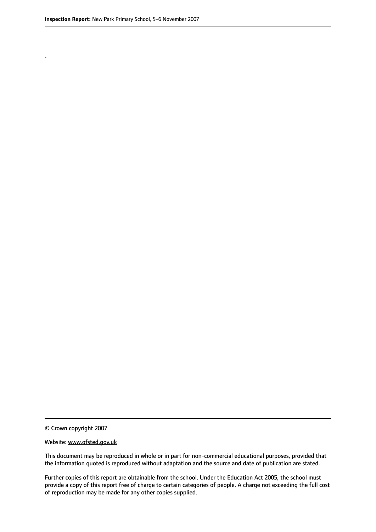.

© Crown copyright 2007

#### Website: www.ofsted.gov.uk

This document may be reproduced in whole or in part for non-commercial educational purposes, provided that the information quoted is reproduced without adaptation and the source and date of publication are stated.

Further copies of this report are obtainable from the school. Under the Education Act 2005, the school must provide a copy of this report free of charge to certain categories of people. A charge not exceeding the full cost of reproduction may be made for any other copies supplied.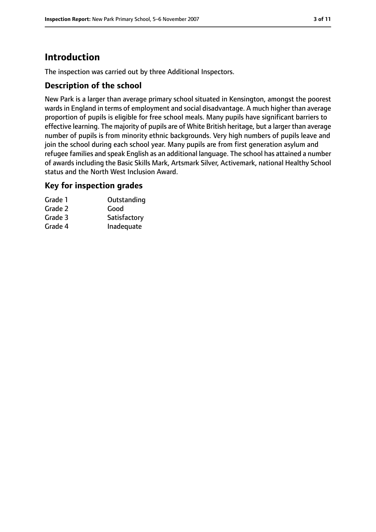# **Introduction**

The inspection was carried out by three Additional Inspectors.

#### **Description of the school**

New Park is a larger than average primary school situated in Kensington, amongst the poorest wards in England in terms of employment and social disadvantage. A much higher than average proportion of pupils is eligible for free school meals. Many pupils have significant barriers to effective learning. The majority of pupils are of White British heritage, but a larger than average number of pupils is from minority ethnic backgrounds. Very high numbers of pupils leave and join the school during each school year. Many pupils are from first generation asylum and refugee families and speak English as an additional language. The school has attained a number of awards including the Basic Skills Mark, Artsmark Silver, Activemark, national Healthy School status and the North West Inclusion Award.

#### **Key for inspection grades**

| Outstanding  |
|--------------|
|              |
| Satisfactory |
| Inadequate   |
|              |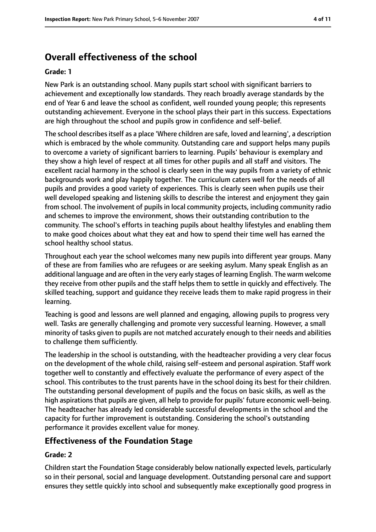# **Overall effectiveness of the school**

#### **Grade: 1**

New Park is an outstanding school. Many pupils start school with significant barriers to achievement and exceptionally low standards. They reach broadly average standards by the end of Year 6 and leave the school as confident, well rounded young people; this represents outstanding achievement. Everyone in the school plays their part in this success. Expectations are high throughout the school and pupils grow in confidence and self-belief.

The school describes itself as a place 'Where children are safe, loved and learning', a description which is embraced by the whole community. Outstanding care and support helps many pupils to overcome a variety of significant barriers to learning. Pupils' behaviour is exemplary and they show a high level of respect at all times for other pupils and all staff and visitors. The excellent racial harmony in the school is clearly seen in the way pupils from a variety of ethnic backgrounds work and play happily together. The curriculum caters well for the needs of all pupils and provides a good variety of experiences. This is clearly seen when pupils use their well developed speaking and listening skills to describe the interest and enjoyment they gain from school. The involvement of pupils in local community projects, including community radio and schemes to improve the environment, shows their outstanding contribution to the community. The school's efforts in teaching pupils about healthy lifestyles and enabling them to make good choices about what they eat and how to spend their time well has earned the school healthy school status.

Throughout each year the school welcomes many new pupils into different year groups. Many of these are from families who are refugees or are seeking asylum. Many speak English as an additional language and are often in the very early stages of learning English. The warm welcome they receive from other pupils and the staff helps them to settle in quickly and effectively. The skilled teaching, support and guidance they receive leads them to make rapid progress in their learning.

Teaching is good and lessons are well planned and engaging, allowing pupils to progress very well. Tasks are generally challenging and promote very successful learning. However, a small minority of tasks given to pupils are not matched accurately enough to their needs and abilities to challenge them sufficiently.

The leadership in the school is outstanding, with the headteacher providing a very clear focus on the development of the whole child, raising self-esteem and personal aspiration. Staff work together well to constantly and effectively evaluate the performance of every aspect of the school. This contributes to the trust parents have in the school doing its best for their children. The outstanding personal development of pupils and the focus on basic skills, as well as the high aspirations that pupils are given, all help to provide for pupils' future economic well-being. The headteacher has already led considerable successful developments in the school and the capacity for further improvement is outstanding. Considering the school's outstanding performance it provides excellent value for money.

#### **Effectiveness of the Foundation Stage**

#### **Grade: 2**

Children start the Foundation Stage considerably below nationally expected levels, particularly so in their personal, social and language development. Outstanding personal care and support ensures they settle quickly into school and subsequently make exceptionally good progress in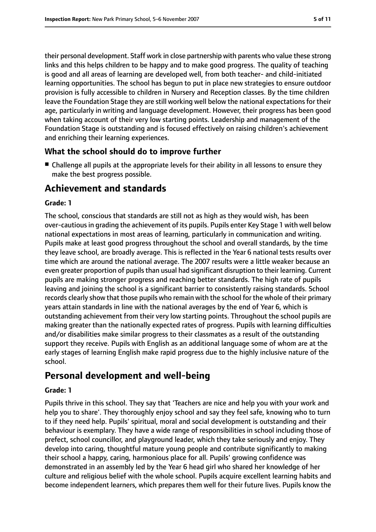their personal development. Staff work in close partnership with parents who value these strong links and this helps children to be happy and to make good progress. The quality of teaching is good and all areas of learning are developed well, from both teacher- and child-initiated learning opportunities. The school has begun to put in place new strategies to ensure outdoor provision is fully accessible to children in Nursery and Reception classes. By the time children leave the Foundation Stage they are still working well below the national expectations for their age, particularly in writing and language development. However, their progress has been good when taking account of their very low starting points. Leadership and management of the Foundation Stage is outstanding and is focused effectively on raising children's achievement and enriching their learning experiences.

## **What the school should do to improve further**

■ Challenge all pupils at the appropriate levels for their ability in all lessons to ensure they make the best progress possible.

## **Achievement and standards**

#### **Grade: 1**

The school, conscious that standards are still not as high as they would wish, has been over-cautious in grading the achievement of its pupils. Pupils enter Key Stage 1 with well below national expectations in most areas of learning, particularly in communication and writing. Pupils make at least good progress throughout the school and overall standards, by the time they leave school, are broadly average. This is reflected in the Year 6 national tests results over time which are around the national average. The 2007 results were a little weaker because an even greater proportion of pupils than usual had significant disruption to their learning. Current pupils are making stronger progress and reaching better standards. The high rate of pupils leaving and joining the school is a significant barrier to consistently raising standards. School records clearly show that those pupils who remain with the school for the whole of their primary years attain standards in line with the national averages by the end of Year 6, which is outstanding achievement from their very low starting points. Throughout the school pupils are making greater than the nationally expected rates of progress. Pupils with learning difficulties and/or disabilities make similar progress to their classmates as a result of the outstanding support they receive. Pupils with English as an additional language some of whom are at the early stages of learning English make rapid progress due to the highly inclusive nature of the school.

## **Personal development and well-being**

#### **Grade: 1**

Pupils thrive in this school. They say that 'Teachers are nice and help you with your work and help you to share'. They thoroughly enjoy school and say they feel safe, knowing who to turn to if they need help. Pupils' spiritual, moral and social development is outstanding and their behaviour is exemplary. They have a wide range of responsibilities in school including those of prefect, school councillor, and playground leader, which they take seriously and enjoy. They develop into caring, thoughtful mature young people and contribute significantly to making their school a happy, caring, harmonious place for all. Pupils' growing confidence was demonstrated in an assembly led by the Year 6 head girl who shared her knowledge of her culture and religious belief with the whole school. Pupils acquire excellent learning habits and become independent learners, which prepares them well for their future lives. Pupils know the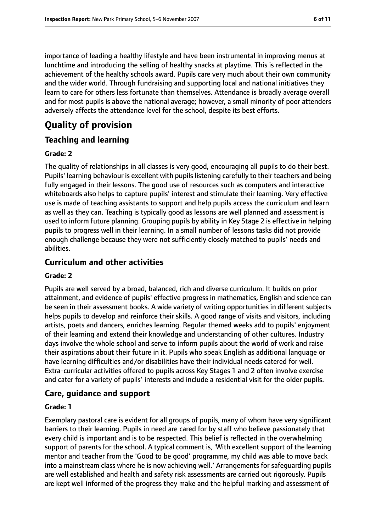importance of leading a healthy lifestyle and have been instrumental in improving menus at lunchtime and introducing the selling of healthy snacks at playtime. This is reflected in the achievement of the healthy schools award. Pupils care very much about their own community and the wider world. Through fundraising and supporting local and national initiatives they learn to care for others less fortunate than themselves. Attendance is broadly average overall and for most pupils is above the national average; however, a small minority of poor attenders adversely affects the attendance level for the school, despite its best efforts.

# **Quality of provision**

#### **Teaching and learning**

#### **Grade: 2**

The quality of relationships in all classes is very good, encouraging all pupils to do their best. Pupils' learning behaviour is excellent with pupils listening carefully to their teachers and being fully engaged in their lessons. The good use of resources such as computers and interactive whiteboards also helps to capture pupils' interest and stimulate their learning. Very effective use is made of teaching assistants to support and help pupils access the curriculum and learn as well as they can. Teaching is typically good as lessons are well planned and assessment is used to inform future planning. Grouping pupils by ability in Key Stage 2 is effective in helping pupils to progress well in their learning. In a small number of lessons tasks did not provide enough challenge because they were not sufficiently closely matched to pupils' needs and abilities.

#### **Curriculum and other activities**

#### **Grade: 2**

Pupils are well served by a broad, balanced, rich and diverse curriculum. It builds on prior attainment, and evidence of pupils' effective progress in mathematics, English and science can be seen in their assessment books. A wide variety of writing opportunities in different subjects helps pupils to develop and reinforce their skills. A good range of visits and visitors, including artists, poets and dancers, enriches learning. Regular themed weeks add to pupils' enjoyment of their learning and extend their knowledge and understanding of other cultures. Industry days involve the whole school and serve to inform pupils about the world of work and raise their aspirations about their future in it. Pupils who speak English as additional language or have learning difficulties and/or disabilities have their individual needs catered for well. Extra-curricular activities offered to pupils across Key Stages 1 and 2 often involve exercise and cater for a variety of pupils' interests and include a residential visit for the older pupils.

#### **Care, guidance and support**

#### **Grade: 1**

Exemplary pastoral care is evident for all groups of pupils, many of whom have very significant barriers to their learning. Pupils in need are cared for by staff who believe passionately that every child is important and is to be respected. This belief is reflected in the overwhelming support of parents for the school. A typical comment is, 'With excellent support of the learning mentor and teacher from the 'Good to be good' programme, my child was able to move back into a mainstream class where he is now achieving well.' Arrangements for safeguarding pupils are well established and health and safety risk assessments are carried out rigorously. Pupils are kept well informed of the progress they make and the helpful marking and assessment of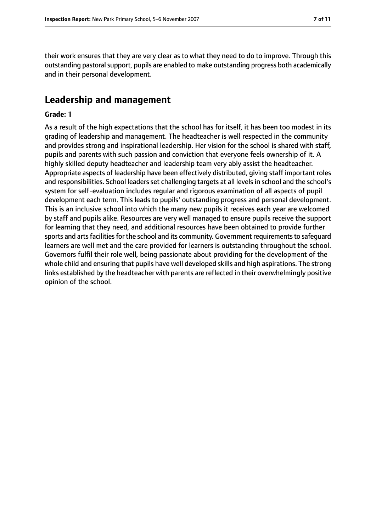their work ensures that they are very clear as to what they need to do to improve. Through this outstanding pastoral support, pupils are enabled to make outstanding progress both academically and in their personal development.

#### **Leadership and management**

#### **Grade: 1**

As a result of the high expectations that the school has for itself, it has been too modest in its grading of leadership and management. The headteacher is well respected in the community and provides strong and inspirational leadership. Her vision for the school is shared with staff, pupils and parents with such passion and conviction that everyone feels ownership of it. A highly skilled deputy headteacher and leadership team very ably assist the headteacher. Appropriate aspects of leadership have been effectively distributed, giving staff important roles and responsibilities. School leaders set challenging targets at all levels in school and the school's system for self-evaluation includes regular and rigorous examination of all aspects of pupil development each term. This leads to pupils' outstanding progress and personal development. This is an inclusive school into which the many new pupils it receives each year are welcomed by staff and pupils alike. Resources are very well managed to ensure pupils receive the support for learning that they need, and additional resources have been obtained to provide further sports and arts facilities for the school and its community. Government requirements to safequard learners are well met and the care provided for learners is outstanding throughout the school. Governors fulfil their role well, being passionate about providing for the development of the whole child and ensuring that pupils have well developed skills and high aspirations. The strong links established by the headteacher with parents are reflected in their overwhelmingly positive opinion of the school.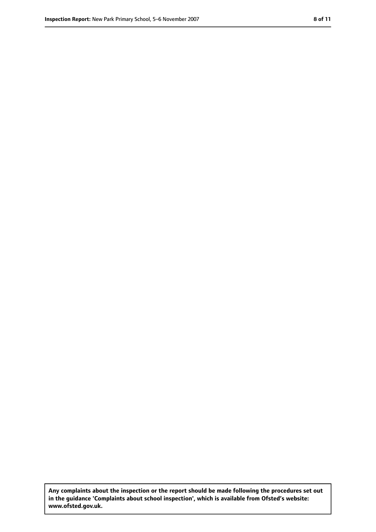**Any complaints about the inspection or the report should be made following the procedures set out in the guidance 'Complaints about school inspection', which is available from Ofsted's website: www.ofsted.gov.uk.**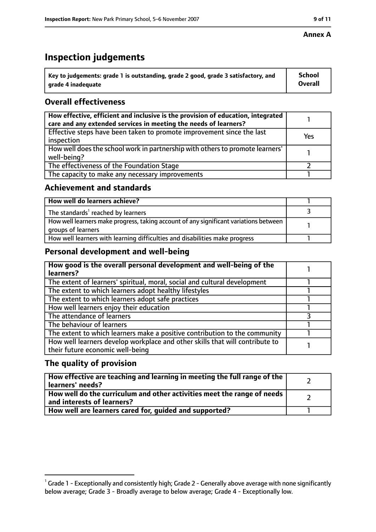#### **Annex A**

# **Inspection judgements**

| $^{\circ}$ Key to judgements: grade 1 is outstanding, grade 2 good, grade 3 satisfactory, and | School         |
|-----------------------------------------------------------------------------------------------|----------------|
| arade 4 inadequate                                                                            | <b>Overall</b> |

## **Overall effectiveness**

| How effective, efficient and inclusive is the provision of education, integrated<br>care and any extended services in meeting the needs of learners? |     |
|------------------------------------------------------------------------------------------------------------------------------------------------------|-----|
| Effective steps have been taken to promote improvement since the last<br>inspection                                                                  | Yes |
| How well does the school work in partnership with others to promote learners'<br>well-being?                                                         |     |
| The effectiveness of the Foundation Stage                                                                                                            |     |
| The capacity to make any necessary improvements                                                                                                      |     |

#### **Achievement and standards**

| How well do learners achieve?                                                                               |  |
|-------------------------------------------------------------------------------------------------------------|--|
| The standards <sup>1</sup> reached by learners                                                              |  |
| How well learners make progress, taking account of any significant variations between<br>groups of learners |  |
| How well learners with learning difficulties and disabilities make progress                                 |  |

## **Personal development and well-being**

| How good is the overall personal development and well-being of the<br>learners?                                  |  |
|------------------------------------------------------------------------------------------------------------------|--|
| The extent of learners' spiritual, moral, social and cultural development                                        |  |
| The extent to which learners adopt healthy lifestyles                                                            |  |
| The extent to which learners adopt safe practices                                                                |  |
| How well learners enjoy their education                                                                          |  |
| The attendance of learners                                                                                       |  |
| The behaviour of learners                                                                                        |  |
| The extent to which learners make a positive contribution to the community                                       |  |
| How well learners develop workplace and other skills that will contribute to<br>their future economic well-being |  |

## **The quality of provision**

| How effective are teaching and learning in meeting the full range of the<br>learners' needs?          |  |
|-------------------------------------------------------------------------------------------------------|--|
| How well do the curriculum and other activities meet the range of needs<br>and interests of learners? |  |
| How well are learners cared for, quided and supported?                                                |  |

 $^1$  Grade 1 - Exceptionally and consistently high; Grade 2 - Generally above average with none significantly below average; Grade 3 - Broadly average to below average; Grade 4 - Exceptionally low.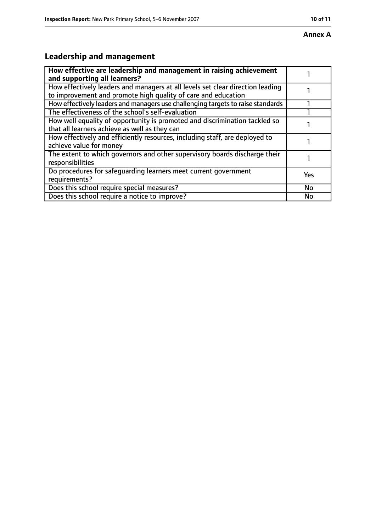#### **Annex A**

# **Leadership and management**

| How effective are leadership and management in raising achievement<br>and supporting all learners?                                              |           |
|-------------------------------------------------------------------------------------------------------------------------------------------------|-----------|
| How effectively leaders and managers at all levels set clear direction leading<br>to improvement and promote high quality of care and education |           |
| How effectively leaders and managers use challenging targets to raise standards                                                                 |           |
| The effectiveness of the school's self-evaluation                                                                                               |           |
| How well equality of opportunity is promoted and discrimination tackled so<br>that all learners achieve as well as they can                     |           |
| How effectively and efficiently resources, including staff, are deployed to<br>achieve value for money                                          |           |
| The extent to which governors and other supervisory boards discharge their<br>responsibilities                                                  |           |
| Do procedures for safequarding learners meet current government<br>requirements?                                                                | Yes       |
| Does this school require special measures?                                                                                                      | <b>No</b> |
| Does this school require a notice to improve?                                                                                                   | No        |